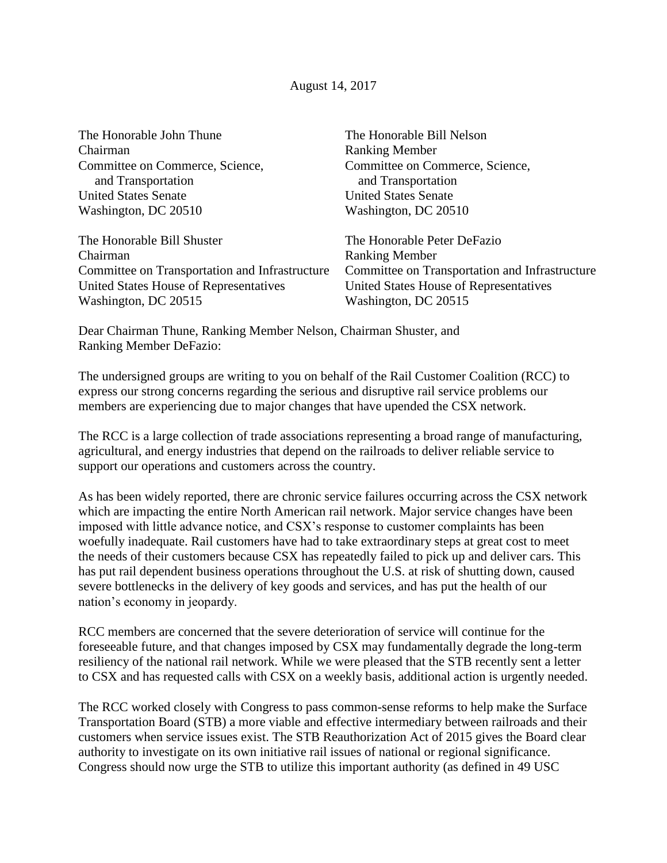| The Honorable John Thune                       | The Honorable Bill Nelson                      |
|------------------------------------------------|------------------------------------------------|
| Chairman                                       | <b>Ranking Member</b>                          |
| Committee on Commerce, Science,                | Committee on Commerce, Science,                |
| and Transportation                             | and Transportation                             |
| <b>United States Senate</b>                    | <b>United States Senate</b>                    |
| Washington, DC 20510                           | Washington, DC 20510                           |
| The Honorable Bill Shuster                     | The Honorable Peter DeFazio                    |
| Chairman                                       | <b>Ranking Member</b>                          |
| Committee on Transportation and Infrastructure | Committee on Transportation and Infrastructure |
| United States House of Representatives         | United States House of Representatives         |
| Washington, DC 20515                           | Washington, DC 20515                           |
|                                                |                                                |

Dear Chairman Thune, Ranking Member Nelson, Chairman Shuster, and Ranking Member DeFazio:

The undersigned groups are writing to you on behalf of the Rail Customer Coalition (RCC) to express our strong concerns regarding the serious and disruptive rail service problems our members are experiencing due to major changes that have upended the CSX network.

The RCC is a large collection of trade associations representing a broad range of manufacturing, agricultural, and energy industries that depend on the railroads to deliver reliable service to support our operations and customers across the country.

As has been widely reported, there are chronic service failures occurring across the CSX network which are impacting the entire North American rail network. Major service changes have been imposed with little advance notice, and CSX's response to customer complaints has been woefully inadequate. Rail customers have had to take extraordinary steps at great cost to meet the needs of their customers because CSX has repeatedly failed to pick up and deliver cars. This has put rail dependent business operations throughout the U.S. at risk of shutting down, caused severe bottlenecks in the delivery of key goods and services, and has put the health of our nation's economy in jeopardy.

RCC members are concerned that the severe deterioration of service will continue for the foreseeable future, and that changes imposed by CSX may fundamentally degrade the long-term resiliency of the national rail network. While we were pleased that the STB recently sent a letter to CSX and has requested calls with CSX on a weekly basis, additional action is urgently needed.

The RCC worked closely with Congress to pass common-sense reforms to help make the Surface Transportation Board (STB) a more viable and effective intermediary between railroads and their customers when service issues exist. The STB Reauthorization Act of 2015 gives the Board clear authority to investigate on its own initiative rail issues of national or regional significance. Congress should now urge the STB to utilize this important authority (as defined in 49 USC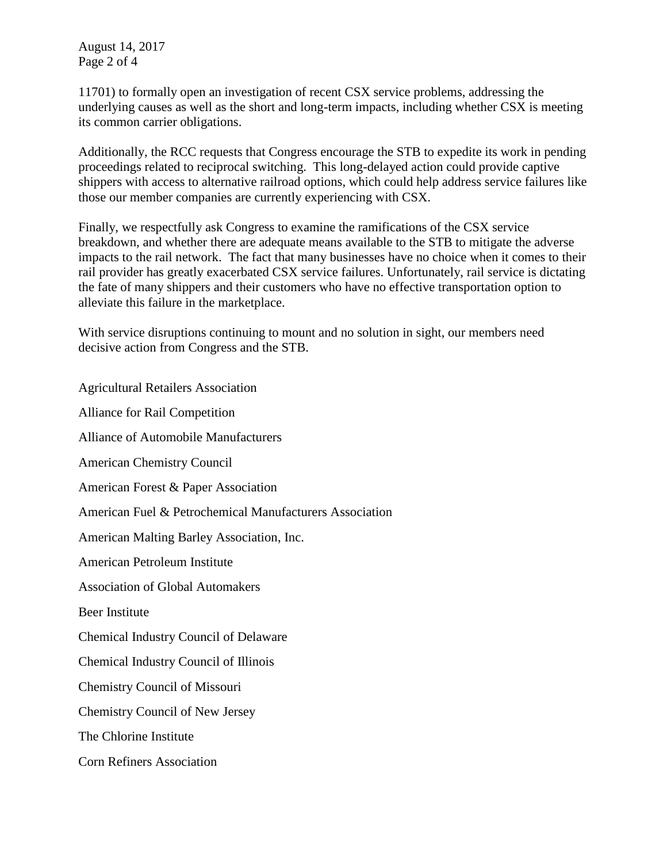August 14, 2017 Page 2 of 4

11701) to formally open an investigation of recent CSX service problems, addressing the underlying causes as well as the short and long-term impacts, including whether CSX is meeting its common carrier obligations.

Additionally, the RCC requests that Congress encourage the STB to expedite its work in pending proceedings related to reciprocal switching. This long-delayed action could provide captive shippers with access to alternative railroad options, which could help address service failures like those our member companies are currently experiencing with CSX.

Finally, we respectfully ask Congress to examine the ramifications of the CSX service breakdown, and whether there are adequate means available to the STB to mitigate the adverse impacts to the rail network. The fact that many businesses have no choice when it comes to their rail provider has greatly exacerbated CSX service failures. Unfortunately, rail service is dictating the fate of many shippers and their customers who have no effective transportation option to alleviate this failure in the marketplace.

With service disruptions continuing to mount and no solution in sight, our members need decisive action from Congress and the STB.

Agricultural Retailers Association Alliance for Rail Competition Alliance of Automobile Manufacturers American Chemistry Council American Forest & Paper Association American Fuel & Petrochemical Manufacturers Association American Malting Barley Association, Inc. American Petroleum Institute Association of Global Automakers Beer Institute Chemical Industry Council of Delaware Chemical Industry Council of Illinois Chemistry Council of Missouri Chemistry Council of New Jersey The Chlorine Institute Corn Refiners Association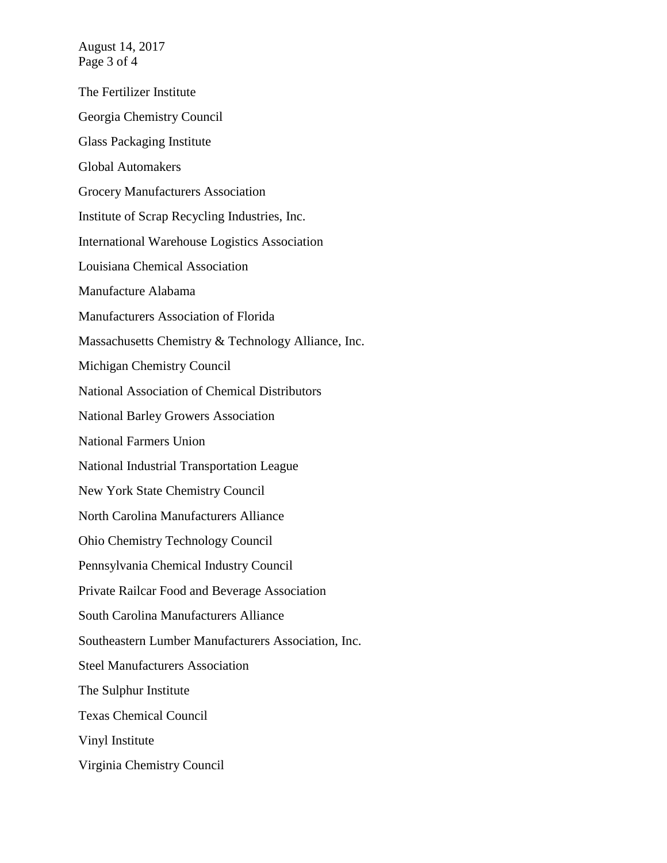August 14, 2017 Page 3 of 4

The Fertilizer Institute Georgia Chemistry Council Glass Packaging Institute Global Automakers Grocery Manufacturers Association Institute of Scrap Recycling Industries, Inc. International Warehouse Logistics Association Louisiana Chemical Association Manufacture Alabama Manufacturers Association of Florida Massachusetts Chemistry & Technology Alliance, Inc. Michigan Chemistry Council National Association of Chemical Distributors National Barley Growers Association National Farmers Union National Industrial Transportation League New York State Chemistry Council North Carolina Manufacturers Alliance Ohio Chemistry Technology Council Pennsylvania Chemical Industry Council Private Railcar Food and Beverage Association South Carolina Manufacturers Alliance Southeastern Lumber Manufacturers Association, Inc. Steel Manufacturers Association The Sulphur Institute Texas Chemical Council Vinyl Institute Virginia Chemistry Council